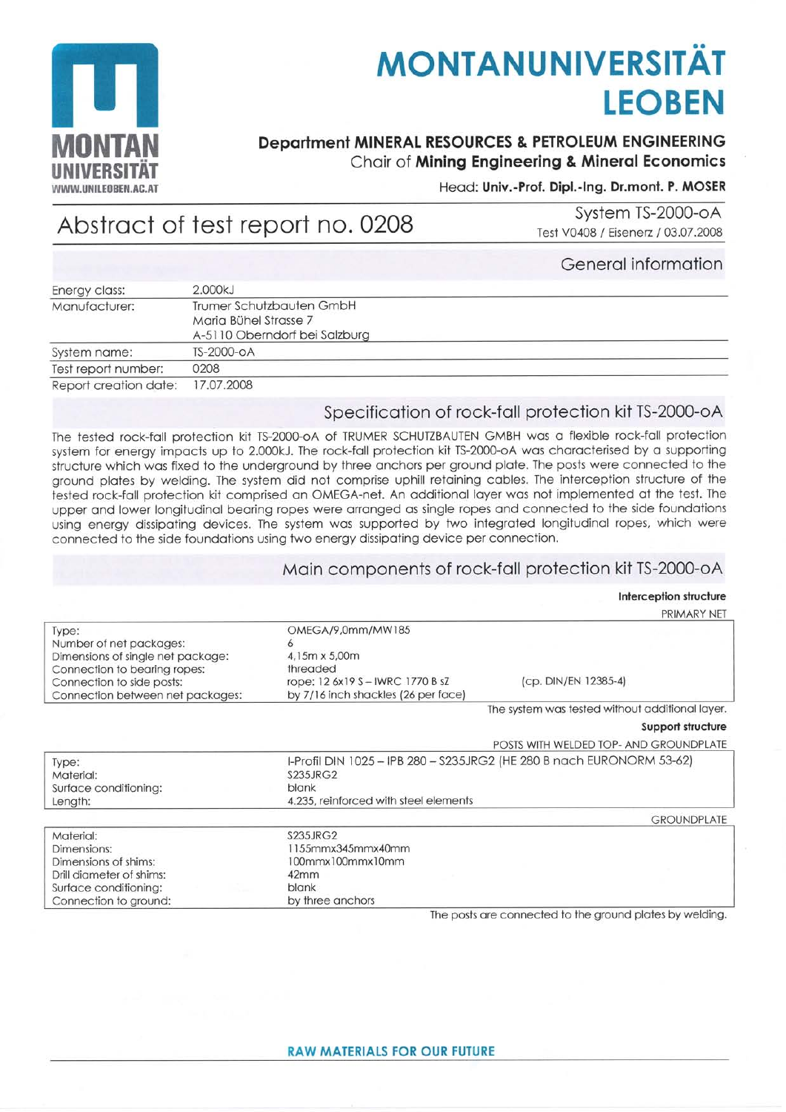

# **MONTANUNIVERSITÄT LEOBEN**

## **Department MINERAL RESOURCES & PETROLEUM ENGINEERING** Chair of Mining Engineering & Mineral Economics

#### Head: Univ.-Prof. Dipl.-Ing. Dr.mont. P. MOSER

# Abstract of test report no. 0208

System TS-2000-oA Test V0408 / Eisenerz / 03.07.2008

#### General information

| Energy class:         | 2.000kJ                       |  |
|-----------------------|-------------------------------|--|
| Manufacturer:         | Trumer Schutzbauten GmbH      |  |
|                       | Maria Bühel Strasse 7         |  |
|                       | A-5110 Oberndorf bei Salzburg |  |
| System name:          | TS-2000-OA                    |  |
| Test report number:   | 0208                          |  |
| Report creation date: | 17.07.2008                    |  |

### Specification of rock-fall protection kit TS-2000-oA

The tested rock-fall protection kit TS-2000-oA of TRUMER SCHUTZBAUTEN GMBH was a flexible rock-fall protection system for energy impacts up to 2.000kJ. The rock-fall protection kit TS-2000-oA was characterised by a supporting structure which was fixed to the underground by three anchors per ground plate. The posts were connected to the ground plates by welding. The system did not comprise uphill retaining cables. The interception structure of the tested rock-fall protection kit comprised an OMEGA-net. An additional layer was not implemented at the test. The upper and lower longitudinal bearing ropes were arranged as single ropes and connected to the side foundations using energy dissipating devices. The system was supported by two integrated longitudinal ropes, which were connected to the side foundations using two energy dissipating device per connection.

#### Main components of rock-fall protection kit TS-2000-oA

#### Interception structure

|                                   |                                                                       | PRIMARY NEI                                     |
|-----------------------------------|-----------------------------------------------------------------------|-------------------------------------------------|
| Type:                             | OMEGA/9,0mm/MW185                                                     |                                                 |
| Number of net packages:           | ٥                                                                     |                                                 |
| Dimensions of single net package: | 4,15m x 5,00m                                                         |                                                 |
| Connection to bearing ropes:      | threaded                                                              |                                                 |
| Connection to side posts:         | rope: 12 6x19 S - IWRC 1770 B sZ                                      | (cp. DIN/EN 12385-4)                            |
| Connection between net packages:  | by 7/16 inch shackles (26 per face)                                   |                                                 |
|                                   |                                                                       | The system was tested without additional layer. |
|                                   |                                                                       | Support structure                               |
|                                   |                                                                       | POSTS WITH WELDED TOP- AND GROUNDPLATE          |
| Type:                             | I-Profil DIN 1025 - IPB 280 - S235JRG2 (HE 280 B nach EURONORM 53-62) |                                                 |
| Material:                         | <b>S235JRG2</b>                                                       |                                                 |
| Surface conditioning:             | blank                                                                 |                                                 |
| Length:                           | 4.235, reinforced with steel elements                                 |                                                 |
|                                   |                                                                       | <b>GROUNDPLATE</b>                              |
| Material:                         | <b>S235JRG2</b>                                                       |                                                 |
| Dimensions:                       | 1155mmx345mmx40mm                                                     |                                                 |
| Dimensions of shims:              | 100mmx100mmx10mm                                                      |                                                 |
| Drill diameter of shims:          | 42mm                                                                  |                                                 |
| Surface conditioning:             | <b>blank</b>                                                          |                                                 |
| Connection to ground:             | by three anchors                                                      |                                                 |

The posts are connected to the ground plates by welding.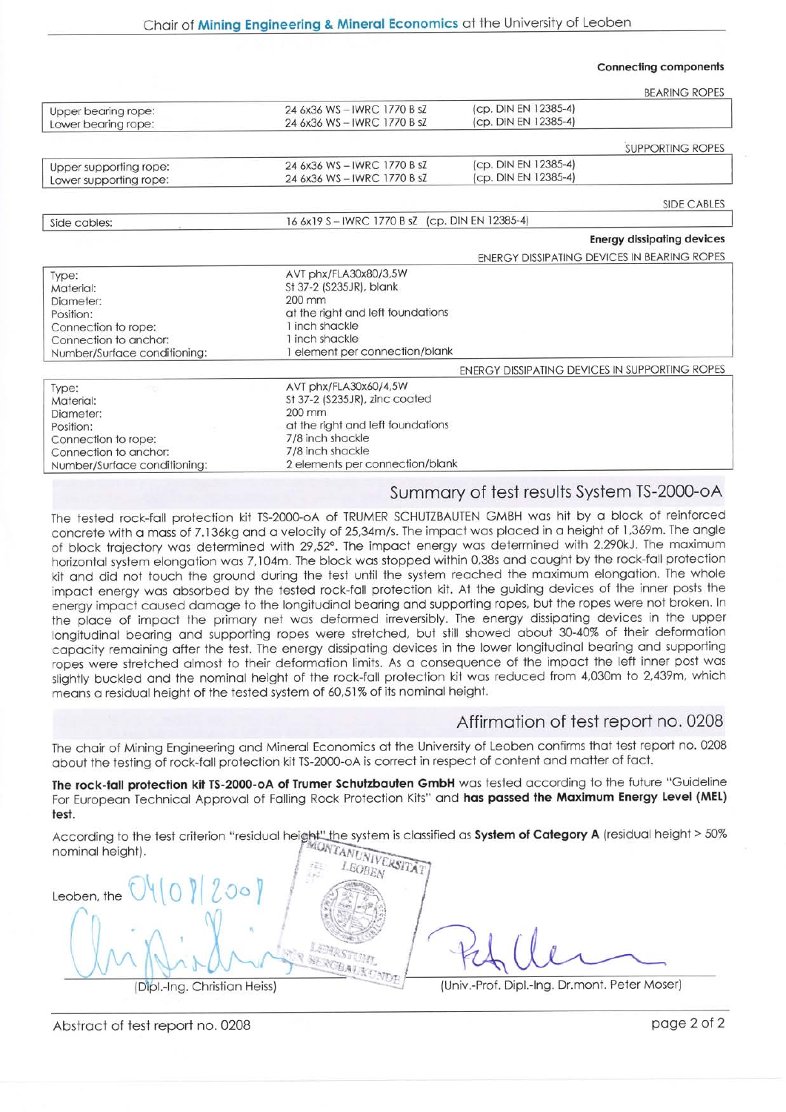#### Connecting components

|                                                                 |                                               |                                                | <b>BEARING ROPES</b>    |
|-----------------------------------------------------------------|-----------------------------------------------|------------------------------------------------|-------------------------|
| Upper bearing rope:                                             | 24 6x36 WS-IWRC 1770 B sZ                     | (cp. DIN EN 12385-4)                           |                         |
| Lower bearing rope:                                             | 24 6x36 WS-IWRC 1770 B sZ                     | (cp. DIN EN 12385-4)                           |                         |
|                                                                 |                                               |                                                |                         |
|                                                                 |                                               |                                                | <b>SUPPORTING ROPES</b> |
| Upper supporting rope:                                          | 24 6x36 WS-IWRC 1770 B sZ                     | (cp. DIN EN 12385-4)                           |                         |
| Lower supporting rope:                                          | 24 6x36 WS-IWRC 1770 B sZ                     | (cp. DIN EN 12385-4)                           |                         |
|                                                                 |                                               |                                                | <b>SIDE CABLES</b>      |
| Side cables:                                                    | 16 6x19 S-IWRC 1770 B sZ (cp. DIN EN 12385-4) |                                                |                         |
|                                                                 |                                               | <b>Energy dissipating devices</b>              |                         |
|                                                                 |                                               | ENERGY DISSIPATING DEVICES IN BEARING ROPES    |                         |
| Type:                                                           | AVT phx/FLA30x80/3,5W                         |                                                |                         |
| Material:                                                       | St 37-2 (S235JR), blank                       |                                                |                         |
| Diameter:                                                       | $200 \text{ mm}$                              |                                                |                         |
| Position:                                                       | at the right and left foundations             |                                                |                         |
| Connection to rope:                                             | 1 inch shackle                                |                                                |                         |
| Connection to anchor:                                           | 1 inch shackle                                |                                                |                         |
| Number/Surface conditioning:                                    | 1 element per connection/blank                |                                                |                         |
|                                                                 |                                               | ENERGY DISSIPATING DEVICES IN SUPPORTING ROPES |                         |
| Type:                                                           | AVT phx/FLA30x60/4,5W                         |                                                |                         |
| Material:                                                       | St 37-2 (S235JR), zinc coated                 |                                                |                         |
| Diameter:                                                       | $200 \text{ mm}$                              |                                                |                         |
| Position:                                                       | at the right and left foundations             |                                                |                         |
| Connection to rope:                                             | 7/8 inch shackle                              |                                                |                         |
| Connection to anchor:                                           | 7/8 inch shackle                              |                                                |                         |
| 2 elements per connection/blank<br>Number/Surface conditioning: |                                               |                                                |                         |

#### Summory of test results System TS-2000-oA

The tested rock-foll protection kit TS-2000-oA of TRUMER SCHUTZBAUTEN GMBH wos hit by o block of reinforced concrete with a mass of 7.136kg and a velocity of 25,34m/s. The impact was placed in a height of 1,369m. The angle of block trajectory was determined with 29,52°. The impact energy was determined with 2.290kJ. The maximum horizontal system elongation was 7,104m. The block was stopped within 0,38s and caught by the rock-fall protection kit and did not touch the ground during the test until the system reached the maximum elongation. The whole impact energy was absorbed by the tested rock-fall protection kit. At the guiding devices of the inner posts the energy impoct coused domoge fo the longitudinol beoring ond supporting ropes. but the ropes were not broken. In the place of impact the primary net was deformed irreversibly. The energy dissipating devices in the upper longitudinal bearing and supporting ropes were stretched, but still showed about 30-40% of their deformation copocity remoining ofter the tesf. The energy dissipoting devices in the lower longitudinol beoring ond supporting ropes were strefched olmost to their deformotion limits. As o consequence of the impoct the left inner post wos slightly buckled and the nominal height of the rock-fall protection kit was reduced from 4,030m to 2,439m, which means a residual height of the tested system of 60,51% of its nominal height.

#### Affirmotion of test report no. 0208

The chair of Mining Engineering and Mineral Economics at the University of Leoben confirms that test report no. 0208 obout fhe lesting of rock-foll protection kit TS-2000-oA is correct in respecf of content ond motter of foct.

The rock-fall protection kit TS-2000-oA of Trumer Schutzbauten GmbH was tested according to the future "Guideline For European Technical Approval of Falling Rock Protection Kits" and has passed the Maximum Energy Level (MEL) test

According to the test criterion "residual height<u>" th</u>e system is classified as System of Category A (residual height > 50% nominol height).

| Leoben, the                  |                                               |
|------------------------------|-----------------------------------------------|
|                              |                                               |
|                              |                                               |
|                              |                                               |
| (Dipl.-Ing. Christian Heiss) | (Univ.-Prof. Dipl.-Ing. Dr.mont. Peter Moser) |

Abstract of test report no. 0208 page 2 of 2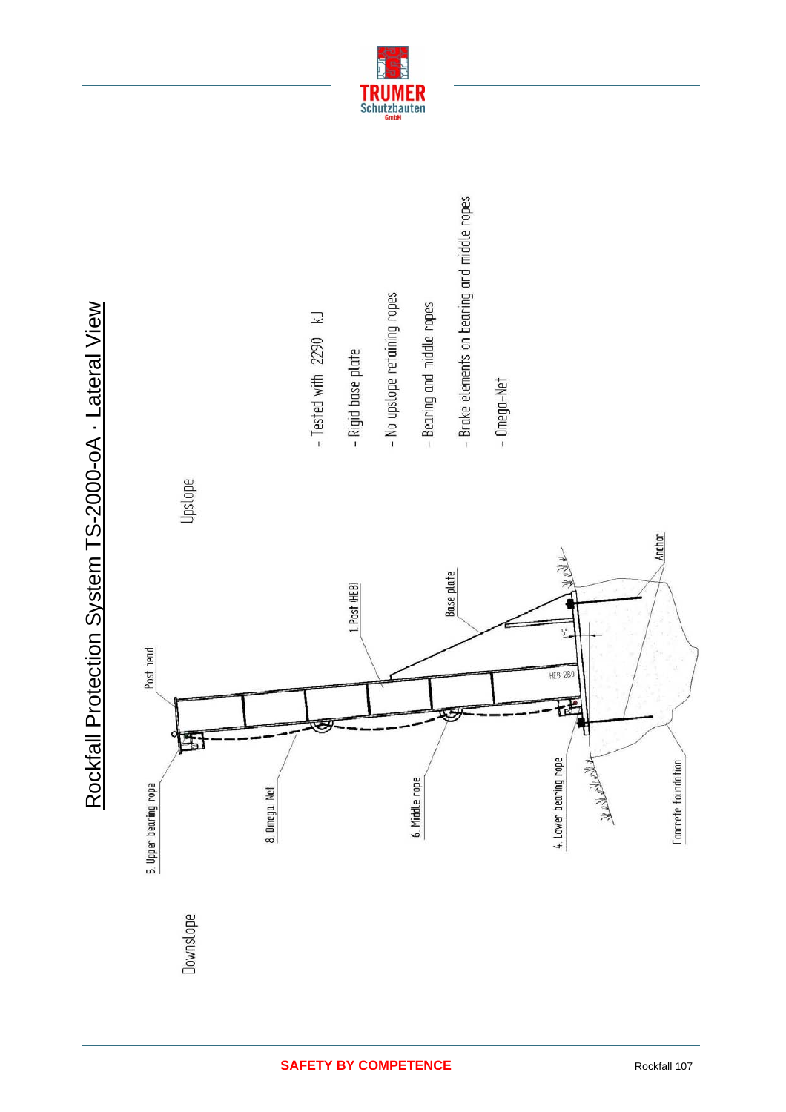